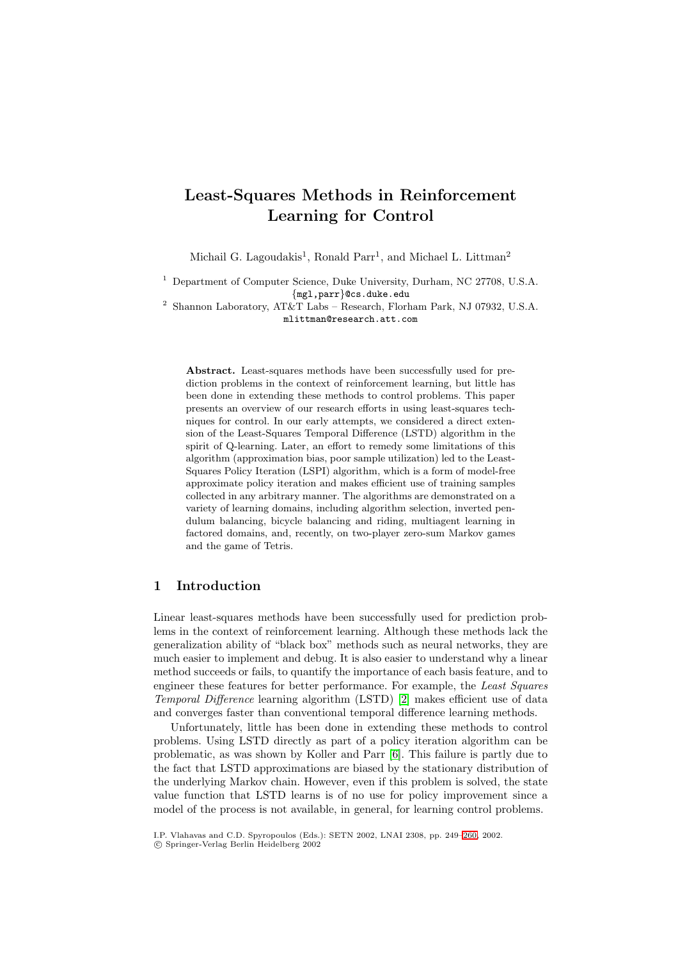# **Least-Squares Methods in Reinforcement Learning for Control**

Michail G. Lagoudakis<sup>1</sup>, Ronald Parr<sup>1</sup>, and Michael L. Littman<sup>2</sup>

<sup>1</sup> Department of Computer Science, Duke University, Durham, NC 27708, U.S.A. {mgl,parr}@cs.duke.edu

<sup>2</sup> Shannon Laboratory, AT&T Labs – Research, Florham Park, NJ 07932, U.S.A. mlittman@research.att.com

**Abstract.** Least-squares methods have been successfully used for prediction problems in the context of reinforcement learning, but little has been done in extending these methods to control problems. This paper presents an overview of our research efforts in using least-squares techniques for control. In our early attempts, we considered a direct extension of the Least-Squares Temporal Difference (LSTD) algorithm in the spirit of Q-learning. Later, an effort to remedy some limitations of this algorithm (approximation bias, poor sample utilization) led to the Least-Squares Policy Iteration (LSPI) algorithm, which is a form of model-free approximate policy iteration and makes efficient use of training samples collected in any arbitrary manner. The algorithms are demonstrated on a variety of learning domains, including algorithm selection, inverted pendulum balancing, bicycle balancing and riding, multiagent learning in factored domains, and, recently, on two-player zero-sum Markov games and the game of Tetris.

# **1 Introduction**

Linear least-squares methods have been successfully used for prediction problems in the context of reinforcement learning. Although these methods lack the generalization ability of "black box" methods such as neural networks, they are much easier to implement and debug. It is also easier to understand why a linear method succeeds or fails, to quantify the importance of each basis feature, and to engineer these features for better performance. For example, the Least Squares Temporal Difference learning algorithm (LSTD) [\[2\]](#page-11-0) makes efficient use of data and converges faster than conventional temporal difference learning methods.

Unfortunately, little has been done in extending these methods to control problems. Using LSTD directly as part of a policy iteration algorithm can be problematic, as was shown by Koller and Parr [\[6\]](#page-11-0). This failure is partly due to the fact that LSTD approximations are biased by the stationary distribution of the underlying Markov chain. However, even if this problem is solved, the state value function that LSTD learns is of no use for policy improvement since a model of the process is not available, in general, for learning control problems.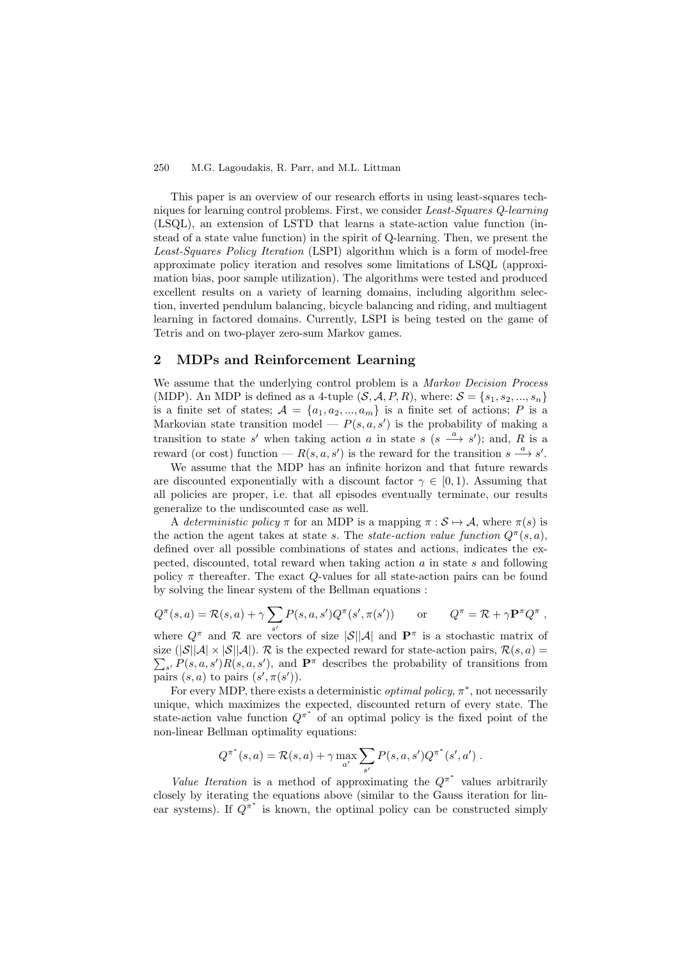This paper is an overview of our research efforts in using least-squares techniques for learning control problems. First, we consider Least-Squares Q-learning (LSQL), an extension of LSTD that learns a state-action value function (instead of a state value function) in the spirit of Q-learning. Then, we present the Least-Squares Policy Iteration (LSPI) algorithm which is a form of model-free approximate policy iteration and resolves some limitations of LSQL (approximation bias, poor sample utilization). The algorithms were tested and produced excellent results on a variety of learning domains, including algorithm selection, inverted pendulum balancing, bicycle balancing and riding, and multiagent learning in factored domains. Currently, LSPI is being tested on the game of Tetris and on two-player zero-sum Markov games.

## **2 MDPs and Reinforcement Learning**

We assume that the underlying control problem is a *Markov Decision Process* (MDP). An MDP is defined as a 4-tuple  $(S, \mathcal{A}, P, R)$ , where:  $\mathcal{S} = \{s_1, s_2, ..., s_n\}$ is a finite set of states;  $A = \{a_1, a_2, ..., a_m\}$  is a finite set of actions; P is a Markovian state transition model —  $P(s, a, s')$  is the probability of making a transition to state s' when taking action a in state s  $(s \xrightarrow{a} s')$ ; and, R is a reward (or cost) function —  $R(s, a, s')$  is the reward for the transition  $s \stackrel{a}{\longrightarrow} s'$ .

We assume that the MDP has an infinite horizon and that future rewards are discounted exponentially with a discount factor  $\gamma \in [0,1)$ . Assuming that all policies are proper, i.e. that all episodes eventually terminate, our results generalize to the undiscounted case as well.

A deterministic policy  $\pi$  for an MDP is a mapping  $\pi : \mathcal{S} \mapsto \mathcal{A}$ , where  $\pi(s)$  is the action the agent takes at state s. The state-action value function  $Q^{\pi}(s, a)$ , defined over all possible combinations of states and actions, indicates the expected, discounted, total reward when taking action  $a$  in state  $s$  and following policy  $\pi$  thereafter. The exact Q-values for all state-action pairs can be found by solving the linear system of the Bellman equations :

$$
Q^{\pi}(s, a) = \mathcal{R}(s, a) + \gamma \sum_{s'} P(s, a, s') Q^{\pi}(s', \pi(s')) \quad \text{or} \quad Q^{\pi} = \mathcal{R} + \gamma \mathbf{P}^{\pi} Q^{\pi},
$$

where  $Q^{\pi}$  and  $\mathcal R$  are vectors of size  $|\mathcal S||\mathcal A|$  and  $\mathbf P^{\pi}$  is a stochastic matrix of size  $(|\mathcal{S}||\mathcal{A}| \times |\mathcal{S}||\mathcal{A}|)$ . R is the expected reward for state-action pairs,  $\mathcal{R}(s, a)$  =  $\sum_{s'} P(s, a, s') R(s, a, s')$ , and  $\mathbf{P}^{\pi}$  describes the probability of transitions from pairs  $(s, a)$  to pairs  $(s', \pi(s'))$ .

For every MDP, there exists a deterministic *optimal policy*,  $\pi^*$ , not necessarily unique, which maximizes the expected, discounted return of every state. The state-action value function  $Q^{\pi^*}$  of an optimal policy is the fixed point of the non-linear Bellman optimality equations:

$$
Q^{\pi^*}(s, a) = \mathcal{R}(s, a) + \gamma \max_{a'} \sum_{s'} P(s, a, s') Q^{\pi^*}(s', a') .
$$

Value Iteration is a method of approximating the  $Q^{\pi^*}$  values arbitrarily closely by iterating the equations above (similar to the Gauss iteration for linear systems). If  $Q^{\pi^*}$  is known, the optimal policy can be constructed simply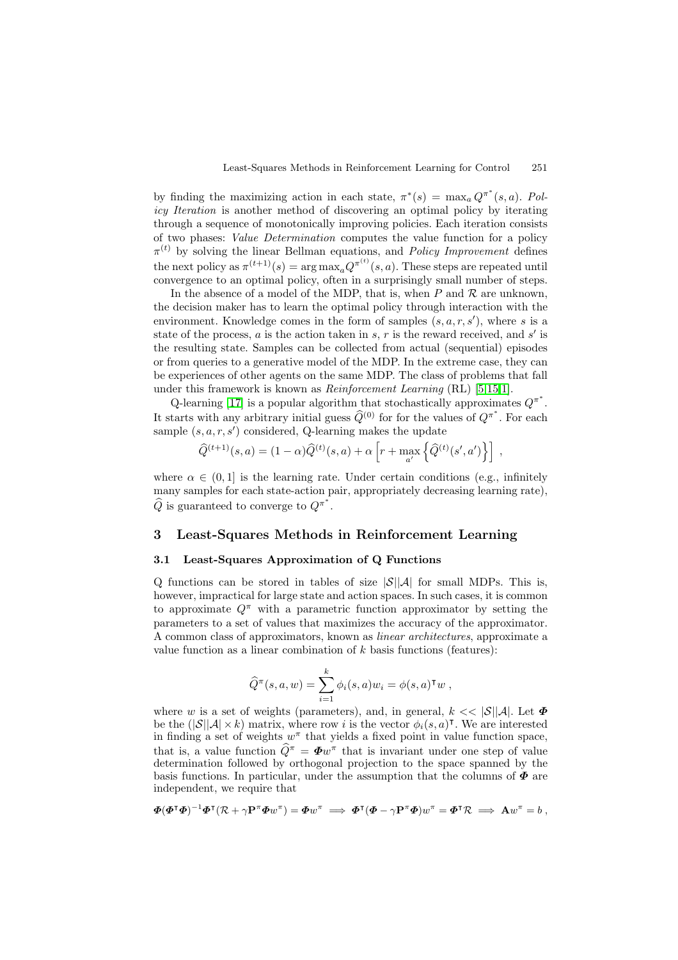by finding the maximizing action in each state,  $\pi^*(s) = \max_a Q^{\pi^*}(s, a)$ . Policy Iteration is another method of discovering an optimal policy by iterating through a sequence of monotonically improving policies. Each iteration consists of two phases: Value Determination computes the value function for a policy  $\pi^{(t)}$  by solving the linear Bellman equations, and *Policy Improvement* defines the next policy as  $\pi^{(t+1)}(s) = \arg \max_{a} Q^{\pi^{(t)}}(s, a)$ . These steps are repeated until convergence to an optimal policy, often in a surprisingly small number of steps.

In the absence of a model of the MDP, that is, when P and  $\mathcal R$  are unknown, the decision maker has to learn the optimal policy through interaction with the environment. Knowledge comes in the form of samples  $(s, a, r, s')$ , where s is a state of the process, a is the action taken in s, r is the reward received, and s' is the resulting state. Samples can be collected from actual (sequential) episodes or from queries to a generative model of the MDP. In the extreme case, they can be experiences of other agents on the same MDP. The class of problems that fall under this framework is known as  $Reinforcement Learning (RL)$  [\[5,15,1\]](#page-11-0).

Q-learning [\[17\]](#page-11-0) is a popular algorithm that stochastically approximates  $Q^{\pi^*}$ . It starts with any arbitrary initial guess  $\hat{Q}^{(0)}$  for for the values of  $Q^{\pi^*}$ . For each sample  $(s, a, r, s')$  considered, Q-learning makes the update

$$
\widehat{Q}^{(t+1)}(s,a) = (1-\alpha)\widehat{Q}^{(t)}(s,a) + \alpha \left[ r + \max_{a'} \left\{ \widehat{Q}^{(t)}(s',a') \right\} \right],
$$

where  $\alpha \in (0,1]$  is the learning rate. Under certain conditions (e.g., infinitely many samples for each state-action pair, appropriately decreasing learning rate),  $\widehat{Q}$  is guaranteed to converge to  $Q^{\pi^*}$ .

## **3 Least-Squares Methods in Reinforcement Learning**

#### **3.1 Least-Squares Approximation of Q Functions**

Q functions can be stored in tables of size  $|\mathcal{S}||\mathcal{A}|$  for small MDPs. This is, however, impractical for large state and action spaces. In such cases, it is common to approximate  $Q^{\pi}$  with a parametric function approximator by setting the parameters to a set of values that maximizes the accuracy of the approximator. Acommon class of approximators, known as linear architectures, approximate a value function as a linear combination of  $k$  basis functions (features):

$$
\widehat{Q}^{\pi}(s, a, w) = \sum_{i=1}^{k} \phi_i(s, a) w_i = \phi(s, a)^{\mathsf{T}} w,
$$

where w is a set of weights (parameters), and, in general,  $k \ll |\mathcal{S}||\mathcal{A}|$ . Let  $\Phi$ be the  $(|\mathcal{S}||\mathcal{A}| \times k)$  matrix, where row i is the vector  $\phi_i(s, a)$ <sup>T</sup>. We are interested in finding a set of weights  $w^{\pi}$  that yields a fixed point in value function space, that is, a value function  $\widehat{Q}^{\pi} = \Phi w^{\pi}$  that is invariant under one step of value determination followed by orthogonal projection to the space spanned by the basis functions. In particular, under the assumption that the columns of *Φ* are independent, we require that

$$
\mathbf{\Phi}(\mathbf{\Phi}^\mathsf{T}\mathbf{\Phi})^{-1}\mathbf{\Phi}^\mathsf{T}(\mathcal{R} + \gamma \mathbf{P}^\pi \mathbf{\Phi} w^\pi) = \mathbf{\Phi} w^\pi \implies \mathbf{\Phi}^\mathsf{T}(\mathbf{\Phi} - \gamma \mathbf{P}^\pi \mathbf{\Phi}) w^\pi = \mathbf{\Phi}^\mathsf{T}\mathcal{R} \implies \mathbf{A} w^\pi = b,
$$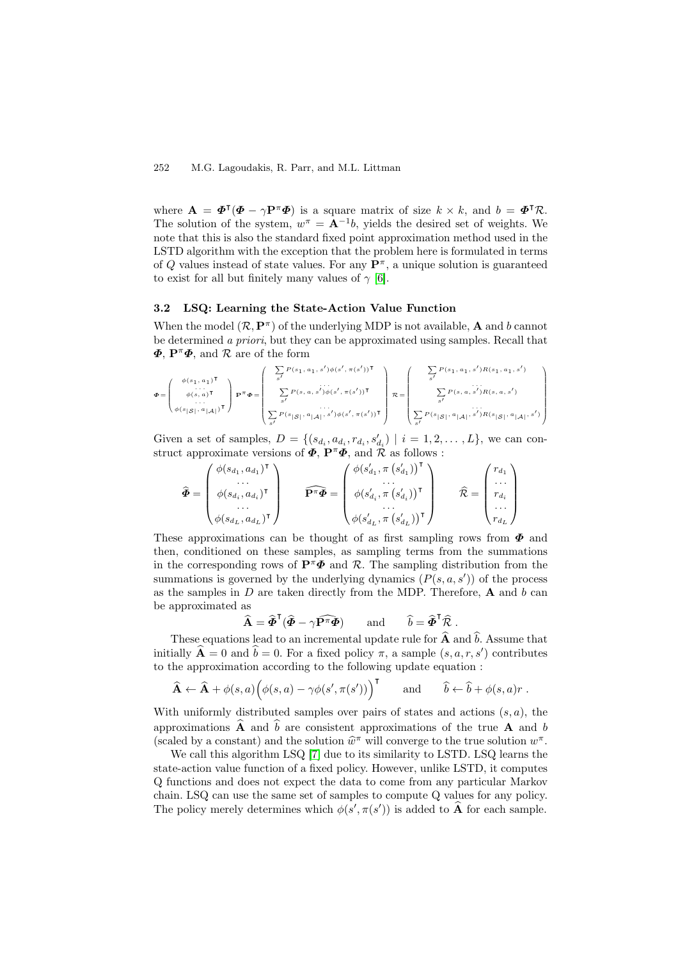where  $\mathbf{A} = \mathbf{\Phi}^{\mathsf{T}}(\mathbf{\Phi} - \gamma \mathbf{P}^{\pi} \mathbf{\Phi})$  is a square matrix of size  $k \times k$ , and  $b = \mathbf{\Phi}^{\mathsf{T}} \mathcal{R}$ . The solution of the system,  $w^{\pi} = \mathbf{A}^{-1}b$ , yields the desired set of weights. We note that this is also the standard fixed point approximation method used in the LSTD algorithm with the exception that the problem here is formulated in terms of Q values instead of state values. For any  $\mathbf{P}^{\pi}$ , a unique solution is guaranteed to exist for all but finitely many values of  $\gamma$  [\[6\]](#page-11-0).

### **3.2 LSQ: Learning the State-Action Value Function**

When the model  $(\mathcal{R}, \mathbf{P}^{\pi})$  of the underlying MDP is not available, **A** and b cannot be determined a priori, but they can be approximated using samples. Recall that *Φ*, **P**<sup>π</sup>*Φ*, and R are of the form

$$
\Phi = \left(\begin{array}{c} \phi(s_1, a_1)^\mathsf{T} \\ \vdots \\ \phi(s, a)^\mathsf{T} \\ \phi(s_1 | \mathcal{S}|, a_{|\mathcal{A}|})^\mathsf{T} \end{array}\right) \mathbf{P}^\pi \Phi = \left(\begin{array}{c} \sum_{s'} P(s_1, a_1, s') \phi(s', \pi(s'))^\mathsf{T} \\ \vdots \\ \sum_{s'} P(s, a, s') \phi(s', \pi(s'))^\mathsf{T} \\ \vdots \\ \sum_{s'} P(s_{|\mathcal{S}|}, a_{|\mathcal{A}|}, s') \phi(s', \pi(s'))^\mathsf{T} \end{array}\right) \mathcal{R} = \left(\begin{array}{c} \sum_{s'} P(s_1, a_1, s') R(s_1, a_1, s') \\ \vdots \\ \sum_{s'} P(s, a, s') R(s, a, s') \\ \vdots \\ \sum_{s'} P(s, a, s') R(s, a, s') \\ \vdots \\ \sum_{s'} P(s | \mathcal{S}|, a_{|\mathcal{A}|}, s') R(s | \mathcal{S}|, a_{|\mathcal{A}|}, s') \end{array}\right)
$$

Given a set of samples,  $D = \{(s_{d_i}, a_{d_i}, r_{d_i}, s'_{d_i}) \mid i = 1, 2, ..., L\}$ , we can construct approximate versions of  $\Phi$ ,  $\mathbf{P}^{\pi}\Phi$ , and  $\mathcal{R}$  as follows :

$$
\widehat{\Phi} = \begin{pmatrix} \phi(s_{d_1}, a_{d_1})^{\mathsf{T}} \\ \cdots \\ \phi(s_{d_i}, a_{d_i})^{\mathsf{T}} \\ \cdots \\ \phi(s_{d_L}, a_{d_L})^{\mathsf{T}} \end{pmatrix} \qquad \widehat{\mathbf{P}^{\pi} \Phi} = \begin{pmatrix} \phi(s'_{d_1}, \pi(s'_{d_1}))^{\mathsf{T}} \\ \cdots \\ \phi(s'_{d_i}, \pi(s'_{d_i}))^{\mathsf{T}} \\ \cdots \\ \phi(s'_{d_L}, \pi(s'_{d_L}))^{\mathsf{T}} \end{pmatrix} \qquad \widehat{\mathcal{R}} = \begin{pmatrix} r_{d_1} \\ \cdots \\ r_{d_i} \\ \cdots \\ r_{d_L} \end{pmatrix}
$$

These approximations can be thought of as first sampling rows from *Φ* and then, conditioned on these samples, as sampling terms from the summations in the corresponding rows of  $\mathbf{P}^{\pi} \Phi$  and R. The sampling distribution from the summations is governed by the underlying dynamics  $(P(s, a, s'))$  of the process as the samples in  $D$  are taken directly from the MDP. Therefore,  $A$  and  $b$  can be approximated as

$$
\widehat{\mathbf{A}} = \widehat{\boldsymbol{\Phi}}^{\mathsf{T}} (\widehat{\boldsymbol{\Phi}} - \gamma \widehat{\mathbf{P}^{\pi} \boldsymbol{\Phi}}) \quad \text{and} \quad \widehat{b} = \widehat{\boldsymbol{\Phi}}^{\mathsf{T}} \widehat{\mathcal{R}}.
$$

These equations lead to an incremental update rule for  $\hat{A}$  and  $\hat{b}$ . Assume that initially  $\mathbf{A} = 0$  and  $b = 0$ . For a fixed policy  $\pi$ , a sample  $(s, a, r, s')$  contributes to the approximation according to the following update equation :

$$
\widehat{\mathbf{A}} \leftarrow \widehat{\mathbf{A}} + \phi(s, a) \Big( \phi(s, a) - \gamma \phi(s', \pi(s')) \Big)^{\mathsf{T}}
$$
 and  $\widehat{b} \leftarrow \widehat{b} + \phi(s, a)r$ .

With uniformly distributed samples over pairs of states and actions  $(s, a)$ , the approximations  $\hat{\mathbf{A}}$  and  $\hat{b}$  are consistent approximations of the true **A** and b (scaled by a constant) and the solution  $\hat{w}^{\pi}$  will converge to the true solution  $w^{\pi}$ .

We call this algorithm LSQ [\[7\]](#page-11-0) due to its similarity to LSTD. LSQ learns the state-action value function of a fixed policy. However, unlike LSTD, it computes Q functions and does not expect the data to come from any particular Markov chain. LSQ can use the same set of samples to compute Q values for any policy. The policy merely determines which  $\phi(s', \pi(s'))$  is added to **A** for each sample.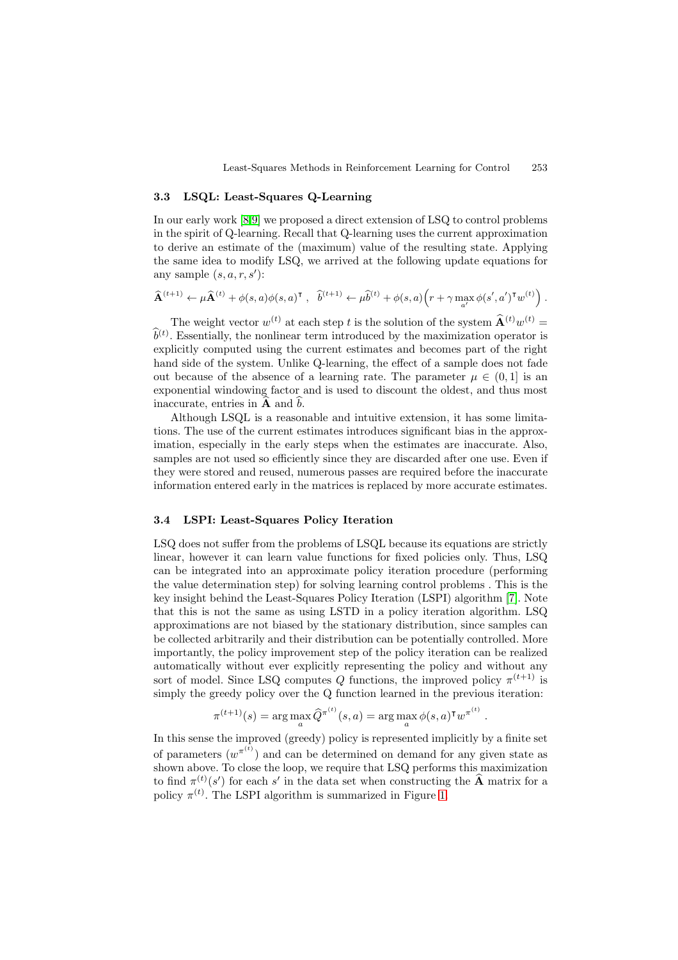#### **3.3 LSQL: Least-Squares Q-Learning**

In our early work [\[8,9\]](#page-11-0) we proposed a direct extension of LSQ to control problems in the spirit of Q-learning. Recall that Q-learning uses the current approximation to derive an estimate of the (maximum) value of the resulting state. Applying the same idea to modify LSQ, we arrived at the following update equations for any sample  $(s, a, r, s')$ :

$$
\widehat{\mathbf{A}}^{(t+1)} \leftarrow \mu \widehat{\mathbf{A}}^{(t)} + \phi(s,a) \phi(s,a)^{\intercal}, \quad \widehat{b}^{(t+1)} \leftarrow \mu \widehat{b}^{(t)} + \phi(s,a) \Big( r + \gamma \max_{a'} \phi(s',a')^{\intercal} w^{(t)} \Big) .
$$

The weight vector  $w^{(t)}$  at each step t is the solution of the system  $\hat{\mathbf{A}}^{(t)}w^{(t)} =$  $\hat{b}^{(t)}$ . Essentially, the nonlinear term introduced by the maximization operator is explicitly computed using the current estimates and becomes part of the right hand side of the system. Unlike Q-learning, the effect of a sample does not fade out because of the absence of a learning rate. The parameter  $\mu \in (0,1]$  is an exponential windowing factor and is used to discount the oldest, and thus most inaccurate, entries in **A** and b.

Although LSQL is a reasonable and intuitive extension, it has some limitations. The use of the current estimates introduces significant bias in the approximation, especially in the early steps when the estimates are inaccurate. Also, samples are not used so efficiently since they are discarded after one use. Even if they were stored and reused, numerous passes are required before the inaccurate information entered early in the matrices is replaced by more accurate estimates.

#### **3.4LSPI: Least-Squares Policy Iteration**

LSQ does not suffer from the problems of LSQL because its equations are strictly linear, however it can learn value functions for fixed policies only. Thus, LSQ can be integrated into an approximate policy iteration procedure (performing the value determination step) for solving learning control problems . This is the key insight behind the Least-Squares Policy Iteration (LSPI) algorithm [\[7\]](#page-11-0). Note that this is not the same as using LSTD in a policy iteration algorithm. LSQ approximations are not biased by the stationary distribution, since samples can be collected arbitrarily and their distribution can be potentially controlled. More importantly, the policy improvement step of the policy iteration can be realized automatically without ever explicitly representing the policy and without any sort of model. Since LSQ computes Q functions, the improved policy  $\pi^{(t+1)}$  is simply the greedy policy over the Q function learned in the previous iteration:

$$
\pi^{(t+1)}(s) = \arg\max_{a} \widehat{Q}^{\pi^{(t)}}(s, a) = \arg\max_{a} \phi(s, a)^{\mathsf{T}} w^{\pi^{(t)}}
$$

.

In this sense the improved (greedy) policy is represented implicitly by a finite set of parameters  $(w^{\pi^{(t)}})$  and can be determined on demand for any given state as shown above. To close the loop, we require that LSQ performs this maximization to find  $\pi^{(t)}(s')$  for each s' in the data set when constructing the  $\widehat{A}$  matrix for a policy  $\pi^{(t)}$ . The LSPI algorithm is summarized in Figure [1.](#page-5-0)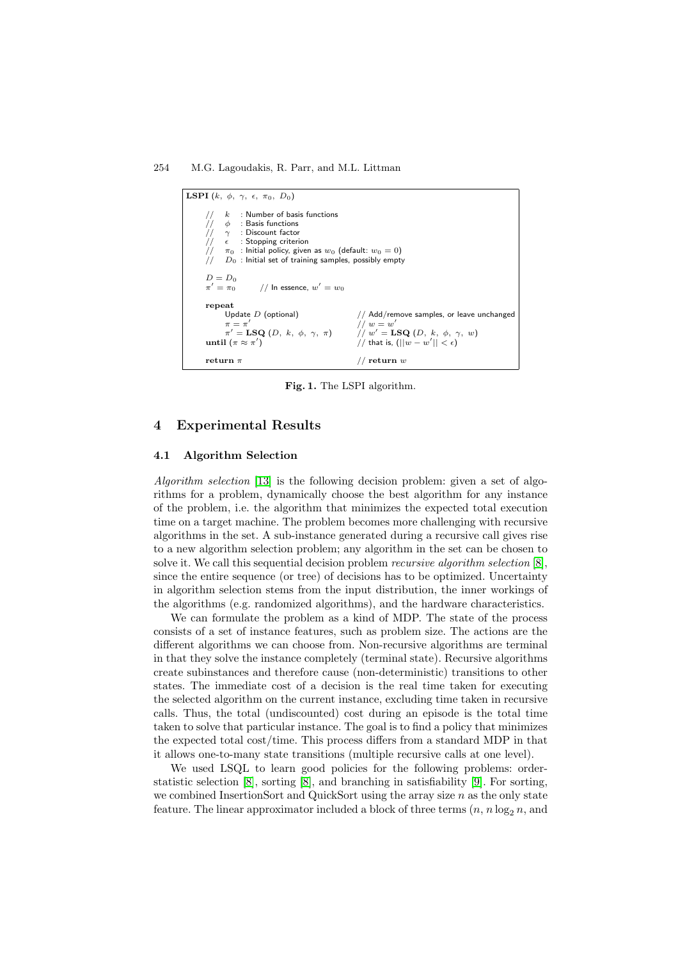<span id="page-5-0"></span>**LSPI**  $(k, \phi, \gamma, \epsilon, \pi_0, D_0)$ //  $k$  : Number of basis functions<br>//  $\phi$  : Basis functions  $//$  φ : Basis functions<br>  $//$  γ : Discount factor<br>  $//$  ε : Stopping criteri  $\frac{1}{\gamma}$   $\gamma$  : Discount factor<br> $\frac{1}{\gamma}$   $\epsilon$  : Stopping criterion  $\frac{1}{\sqrt{7}}$   $\pi_0$  : Initial policy, given as  $w_0$  (default:  $w_0 = 0$ )<br> $\frac{1}{\sqrt{7}}$   $D_0$  : Initial set of training samples, possibly empty  $D_0$  : Initial set of training samples, possibly empty  $D = D_0$ <br> $\pi' = \pi_0$ // In essence,  $w' = w_0$ **repeat** Update D (optional)  $\pi = \pi'$  // Add/remove samples, or leave unchanged  $\pi = \pi'$  //  $w = w'$  $\begin{array}{lll} \pi=\pi' & & // \ w=w' \ \pi'={\bf LSQ}\ (D,\ k,\ \phi,\ \gamma,\ \pi)& & // \ w'={\bf L} \end{array}$  $\int u' = \text{LSQ}(D, k, \phi, \gamma, w)$ **until**  $(\pi \approx \pi')$ )  $//$  that is,  $(||w - w'|| < \epsilon)$ **return**  $\pi$  // **return** w

**Fig. 1.** The LSPI algorithm.

# **4 Experimental Results**

#### **4.1 Algorithm Selection**

Algorithm selection [\[13\]](#page-11-0) is the following decision problem: given a set of algorithms for a problem, dynamically choose the best algorithm for any instance of the problem, i.e. the algorithm that minimizes the expected total execution time on a target machine. The problem becomes more challenging with recursive algorithms in the set. Asub-instance generated during a recursive call gives rise to a new algorithm selection problem; any algorithm in the set can be chosen to solve it. We call this sequential decision problem recursive algorithm selection [\[8\]](#page-11-0), since the entire sequence (or tree) of decisions has to be optimized. Uncertainty in algorithm selection stems from the input distribution, the inner workings of the algorithms (e.g. randomized algorithms), and the hardware characteristics.

We can formulate the problem as a kind of MDP. The state of the process consists of a set of instance features, such as problem size. The actions are the different algorithms we can choose from. Non-recursive algorithms are terminal in that they solve the instance completely (terminal state). Recursive algorithms create subinstances and therefore cause (non-deterministic) transitions to other states. The immediate cost of a decision is the real time taken for executing the selected algorithm on the current instance, excluding time taken in recursive calls. Thus, the total (undiscounted) cost during an episode is the total time taken to solve that particular instance. The goal is to find a policy that minimizes the expected total cost/time. This process differs from a standard MDP in that it allows one-to-many state transitions (multiple recursive calls at one level).

We used LSQL to learn good policies for the following problems: orderstatistic selection [\[8\]](#page-11-0), sorting [\[8\]](#page-11-0), and branching in satisfiability [\[9\]](#page-11-0). For sorting, we combined InsertionSort and QuickSort using the array size  $n$  as the only state feature. The linear approximator included a block of three terms  $(n, n \log_2 n,$  and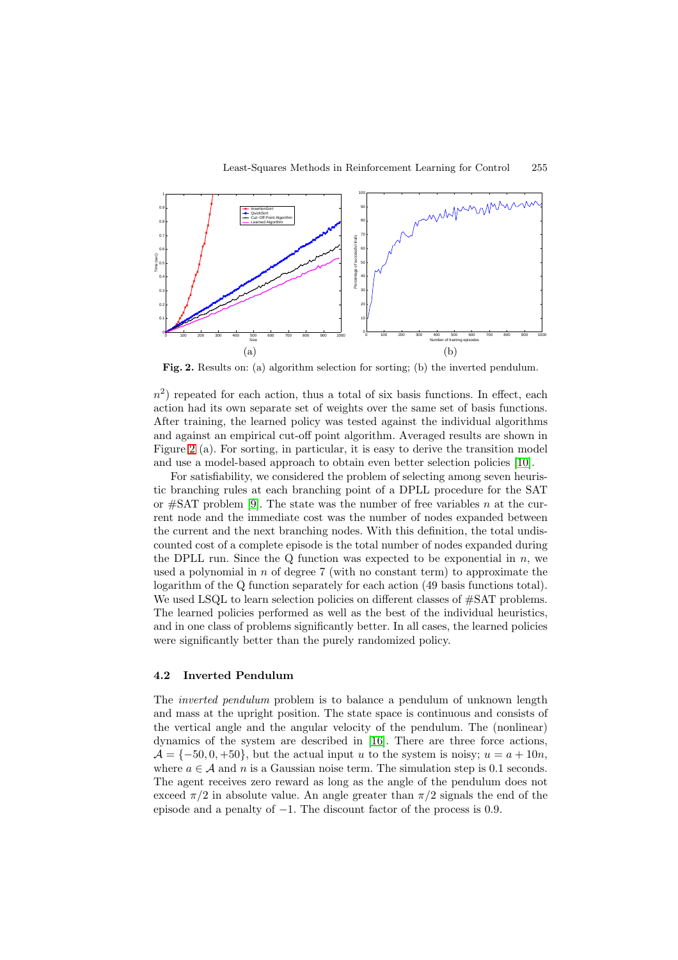<span id="page-6-0"></span>

**Fig. 2.** Results on: (a) algorithm selection for sorting; (b) the inverted pendulum.

 $n<sup>2</sup>$ ) repeated for each action, thus a total of six basis functions. In effect, each action had its own separate set of weights over the same set of basis functions. After training, the learned policy was tested against the individual algorithms and against an empirical cut-off point algorithm. Averaged results are shown in Figure 2 (a). For sorting, in particular, it is easy to derive the transition model and use a model-based approach to obtain even better selection policies [\[10\]](#page-11-0).

For satisfiability, we considered the problem of selecting among seven heuristic branching rules at each branching point of a DPLL procedure for the SAT or  $\#SAT$  problem [\[9\]](#page-11-0). The state was the number of free variables n at the current node and the immediate cost was the number of nodes expanded between the current and the next branching nodes. With this definition, the total undiscounted cost of a complete episode is the total number of nodes expanded during the DPLL run. Since the Q function was expected to be exponential in  $n$ , we used a polynomial in  $n$  of degree  $7$  (with no constant term) to approximate the logarithm of the Q function separately for each action (49 basis functions total). We used LSQL to learn selection policies on different classes of  $\#SAT$  problems. The learned policies performed as well as the best of the individual heuristics, and in one class of problems significantly better. In all cases, the learned policies were significantly better than the purely randomized policy.

#### **4.2 Inverted Pendulum**

The inverted pendulum problem is to balance a pendulum of unknown length and mass at the upright position. The state space is continuous and consists of the vertical angle and the angular velocity of the pendulum. The (nonlinear) dynamics of the system are described in [\[16\]](#page-11-0). There are three force actions,  $\mathcal{A} = \{-50, 0, +50\}$ , but the actual input u to the system is noisy;  $u = a + 10n$ , where  $a \in \mathcal{A}$  and n is a Gaussian noise term. The simulation step is 0.1 seconds. The agent receives zero reward as long as the angle of the pendulum does not exceed  $\pi/2$  in absolute value. An angle greater than  $\pi/2$  signals the end of the episode and a penalty of −1. The discount factor of the process is 0.9.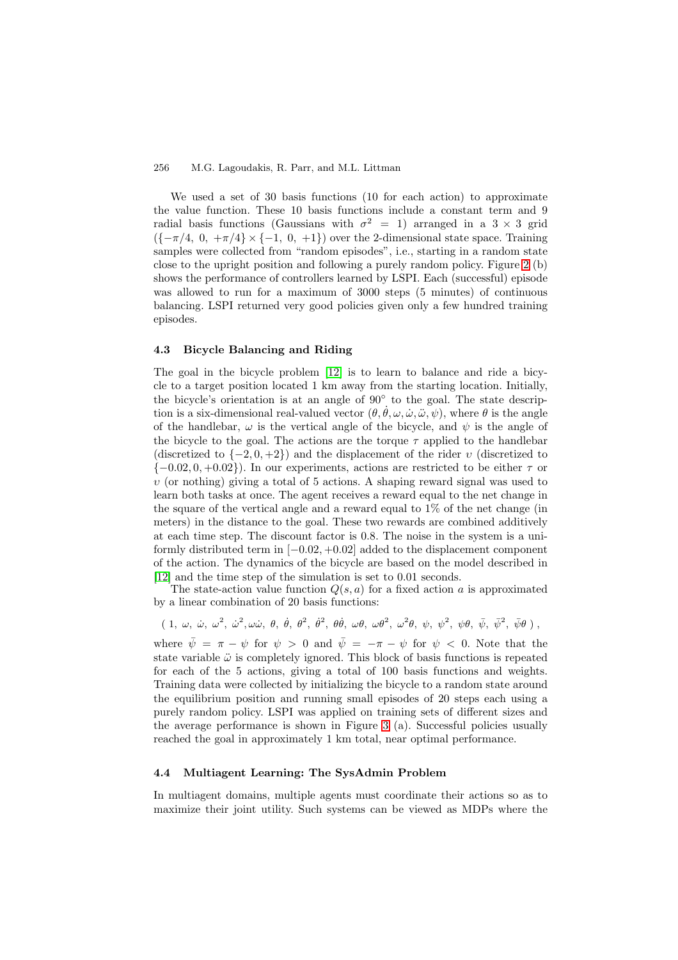We used a set of 30 basis functions (10 for each action) to approximate the value function. These 10 basis functions include a constant term and 9 radial basis functions (Gaussians with  $\sigma^2 = 1$ ) arranged in a 3 × 3 grid  $({-\pi/4, 0, +\pi/4} \times {-1, 0, +1})$  over the 2-dimensional state space. Training samples were collected from "random episodes", i.e., starting in a random state close to the upright position and following a purely random policy. Figure [2](#page-6-0) (b) shows the performance of controllers learned by LSPI. Each (successful) episode was allowed to run for a maximum of 3000 steps (5 minutes) of continuous balancing. LSPI returned very good policies given only a few hundred training episodes.

#### **4.3 Bicycle Balancing and Riding**

The goal in the bicycle problem [\[12\]](#page-11-0) is to learn to balance and ride a bicycle to a target position located 1 km away from the starting location. Initially, the bicycle's orientation is at an angle of 90◦ to the goal. The state description is a six-dimensional real-valued vector  $(\theta, \dot{\theta}, \omega, \dot{\omega}, \ddot{\omega}, \dot{\psi})$ , where  $\theta$  is the angle of the handlebar,  $\omega$  is the vertical angle of the bicycle, and  $\psi$  is the angle of the bicycle to the goal. The actions are the torque  $\tau$  applied to the handlebar (discretized to  $\{-2, 0, +2\}$ ) and the displacement of the rider v (discretized to  $\{-0.02, 0, +0.02\}$ . In our experiments, actions are restricted to be either  $\tau$  or  $v$  (or nothing) giving a total of 5 actions. A shaping reward signal was used to learn both tasks at once. The agent receives a reward equal to the net change in the square of the vertical angle and a reward equal to 1% of the net change (in meters) in the distance to the goal. These two rewards are combined additively at each time step. The discount factor is 0.8. The noise in the system is a uniformly distributed term in  $[-0.02, +0.02]$  added to the displacement component of the action. The dynamics of the bicycle are based on the model described in [\[12\]](#page-11-0) and the time step of the simulation is set to 0.01 seconds.

The state-action value function  $Q(s, a)$  for a fixed action a is approximated by a linear combination of 20 basis functions:

 $(1, \omega, \dot{\omega}, \omega^2, \dot{\omega}^2, \omega\dot{\omega}, \theta, \dot{\theta}, \theta^2, \dot{\theta}^2, \theta\dot{\theta}, \omega\theta, \omega\theta^2, \omega^2\theta, \psi, \psi^2, \psi\theta, \bar{\psi}, \bar{\psi}^2, \bar{\psi}\theta)$ , where  $\bar{\psi} = \pi - \psi$  for  $\psi > 0$  and  $\bar{\psi} = -\pi - \psi$  for  $\psi < 0$ . Note that the state variable  $\ddot{\omega}$  is completely ignored. This block of basis functions is repeated for each of the 5 actions, giving a total of 100 basis functions and weights. Training data were collected by initializing the bicycle to a random state around the equilibrium position and running small episodes of 20 steps each using a purely random policy. LSPI was applied on training sets of different sizes and the average performance is shown in Figure [3](#page-8-0) (a). Successful policies usually reached the goal in approximately 1 km total, near optimal performance.

#### **4.4 Multiagent Learning: The SysAdmin Problem**

In multiagent domains, multiple agents must coordinate their actions so as to maximize their joint utility. Such systems can be viewed as MDPs where the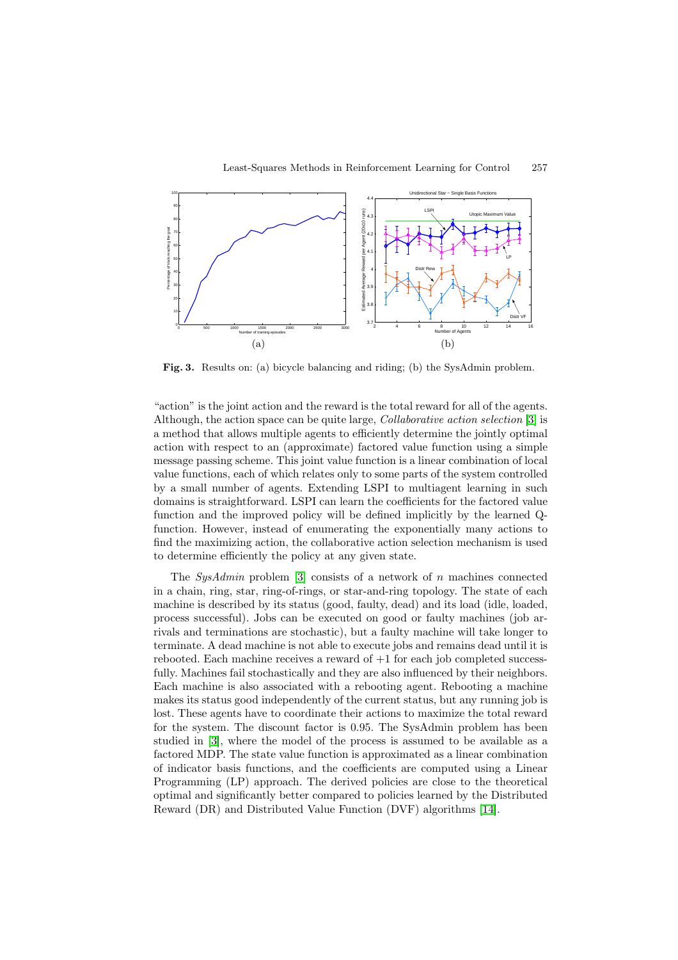<span id="page-8-0"></span>

**Fig. 3.** Results on: (a) bicycle balancing and riding; (b) the SysAdmin problem.

"action" is the joint action and the reward is the total reward for all of the agents. Although, the action space can be quite large, Collaborative action selection [\[3\]](#page-11-0) is a method that allows multiple agents to efficiently determine the jointly optimal action with respect to an (approximate) factored value function using a simple message passing scheme. This joint value function is a linear combination of local value functions, each of which relates only to some parts of the system controlled by a small number of agents. Extending LSPI to multiagent learning in such domains is straightforward. LSPI can learn the coefficients for the factored value function and the improved policy will be defined implicitly by the learned Qfunction. However, instead of enumerating the exponentially many actions to find the maximizing action, the collaborative action selection mechanism is used to determine efficiently the policy at any given state.

The  $SysAdmin$  problem [\[3\]](#page-11-0) consists of a network of n machines connected in a chain, ring, star, ring-of-rings, or star-and-ring topology. The state of each machine is described by its status (good, faulty, dead) and its load (idle, loaded, process successful). Jobs can be executed on good or faulty machines (job arrivals and terminations are stochastic), but a faulty machine will take longer to terminate. Adead machine is not able to execute jobs and remains dead until it is rebooted. Each machine receives a reward of  $+1$  for each job completed successfully. Machines fail stochastically and they are also influenced by their neighbors. Each machine is also associated with a rebooting agent. Rebooting a machine makes its status good independently of the current status, but any running job is lost. These agents have to coordinate their actions to maximize the total reward for the system. The discount factor is 0.95. The SysAdmin problem has been studied in [\[3\]](#page-11-0), where the model of the process is assumed to be available as a factored MDP. The state value function is approximated as a linear combination of indicator basis functions, and the coefficients are computed using a Linear Programming (LP) approach. The derived policies are close to the theoretical optimal and significantly better compared to policies learned by the Distributed Reward (DR) and Distributed Value Function (DVF) algorithms [\[14\]](#page-11-0).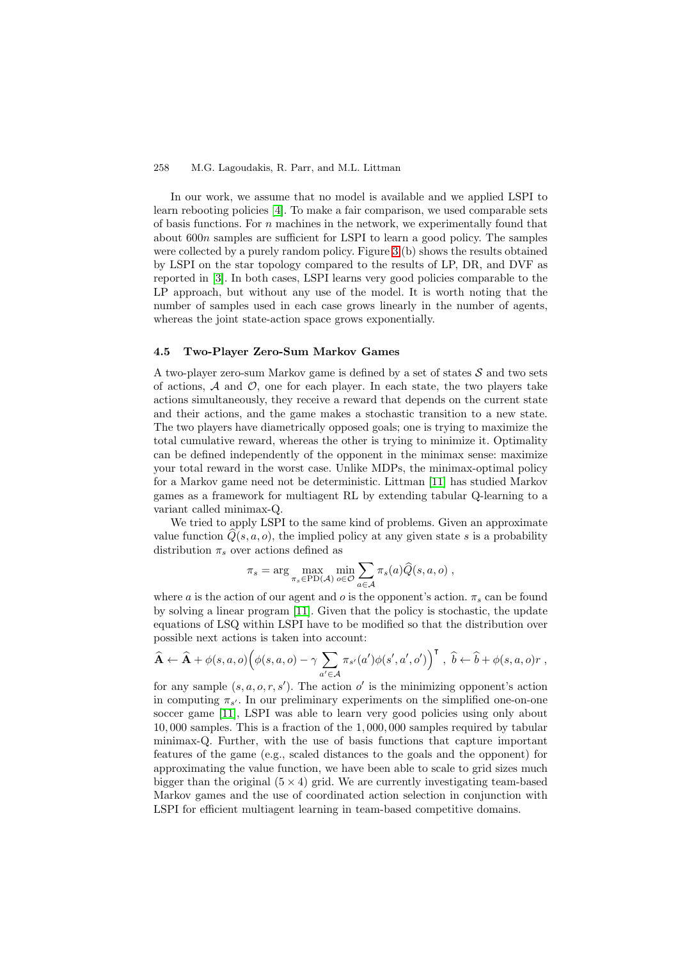In our work, we assume that no model is available and we applied LSPI to learn rebooting policies [\[4\]](#page-11-0). To make a fair comparison, we used comparable sets of basis functions. For  $n$  machines in the network, we experimentally found that about 600n samples are sufficient for LSPI to learn a good policy. The samples were collected by a purely random policy. Figure [3](#page-8-0) (b) shows the results obtained by LSPI on the star topology compared to the results of LP, DR, and DVF as reported in [\[3\]](#page-11-0). In both cases, LSPI learns very good policies comparable to the LP approach, but without any use of the model. It is worth noting that the number of samples used in each case grows linearly in the number of agents, whereas the joint state-action space grows exponentially.

#### **4.5 Two-Player Zero-Sum Markov Games**

A two-player zero-sum Markov game is defined by a set of states  $S$  and two sets of actions,  $A$  and  $O$ , one for each player. In each state, the two players take actions simultaneously, they receive a reward that depends on the current state and their actions, and the game makes a stochastic transition to a new state. The two players have diametrically opposed goals; one is trying to maximize the total cumulative reward, whereas the other is trying to minimize it. Optimality can be defined independently of the opponent in the minimax sense: maximize your total reward in the worst case. Unlike MDPs, the minimax-optimal policy for a Markov game need not be deterministic. Littman [\[11\]](#page-11-0) has studied Markov games as a framework for multiagent RL by extending tabular Q-learning to a variant called minimax-Q.

We tried to apply LSPI to the same kind of problems. Given an approximate value function  $Q(s, a, o)$ , the implied policy at any given state s is a probability distribution  $\pi_s$  over actions defined as

$$
\pi_s = \arg \max_{\pi_s \in \text{PD}(\mathcal{A})} \min_{o \in \mathcal{O}} \sum_{a \in \mathcal{A}} \pi_s(a) \widehat{Q}(s, a, o) ,
$$

where a is the action of our agent and o is the opponent's action.  $\pi_s$  can be found by solving a linear program [\[11\]](#page-11-0). Given that the policy is stochastic, the update equations of LSQ within LSPI have to be modified so that the distribution over possible next actions is taken into account:

$$
\widehat{\mathbf{A}} \leftarrow \widehat{\mathbf{A}} + \phi(s, a, o) \Big( \phi(s, a, o) - \gamma \sum_{a' \in \mathcal{A}} \pi_{s'}(a') \phi(s', a', o') \Big)^{\mathsf{T}}, \ \widehat{b} \leftarrow \widehat{b} + \phi(s, a, o)r,
$$

for any sample  $(s, a, o, r, s')$ . The action o' is the minimizing opponent's action in computing  $\pi_{s'}$ . In our preliminary experiments on the simplified one-on-one soccer game [\[11\]](#page-11-0), LSPI was able to learn very good policies using only about 10, 000 samples. This is a fraction of the 1, 000, 000 samples required by tabular minimax-Q. Further, with the use of basis functions that capture important features of the game (e.g., scaled distances to the goals and the opponent) for approximating the value function, we have been able to scale to grid sizes much bigger than the original  $(5 \times 4)$  grid. We are currently investigating team-based Markov games and the use of coordinated action selection in conjunction with LSPI for efficient multiagent learning in team-based competitive domains.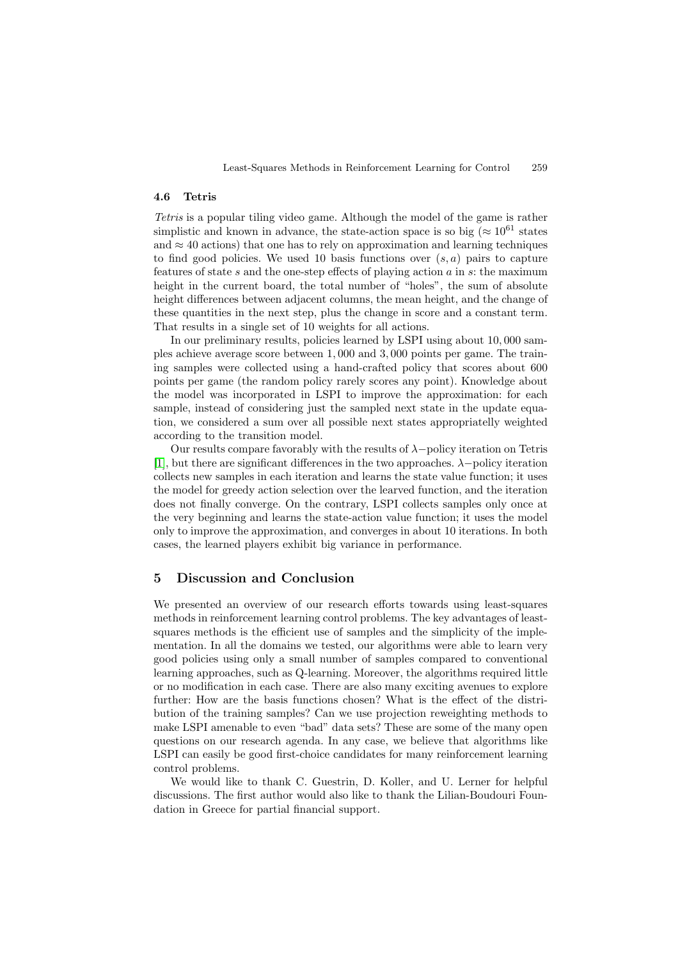#### **4.6 Tetris**

Tetris is a popular tiling video game. Although the model of the game is rather simplistic and known in advance, the state-action space is so big ( $\approx 10^{61}$  states and  $\approx$  40 actions) that one has to rely on approximation and learning techniques to find good policies. We used 10 basis functions over  $(s, a)$  pairs to capture features of state s and the one-step effects of playing action  $a$  in s: the maximum height in the current board, the total number of "holes", the sum of absolute height differences between adjacent columns, the mean height, and the change of these quantities in the next step, plus the change in score and a constant term. That results in a single set of 10 weights for all actions.

In our preliminary results, policies learned by LSPI using about 10, 000 samples achieve average score between 1, 000 and 3, 000 points per game. The training samples were collected using a hand-crafted policy that scores about 600 points per game (the random policy rarely scores any point). Knowledge about the model was incorporated in LSPI to improve the approximation: for each sample, instead of considering just the sampled next state in the update equation, we considered a sum over all possible next states appropriatelly weighted according to the transition model.

Our results compare favorably with the results of λ−policy iteration on Tetris [\[1\]](#page-11-0), but there are significant differences in the two approaches.  $\lambda$  –policy iteration collects new samples in each iteration and learns the state value function; it uses the model for greedy action selection over the learved function, and the iteration does not finally converge. On the contrary, LSPI collects samples only once at the very beginning and learns the state-action value function; it uses the model only to improve the approximation, and converges in about 10 iterations. In both cases, the learned players exhibit big variance in performance.

## **5 Discussion and Conclusion**

We presented an overview of our research efforts towards using least-squares methods in reinforcement learning control problems. The key advantages of leastsquares methods is the efficient use of samples and the simplicity of the implementation. In all the domains we tested, our algorithms were able to learn very good policies using only a small number of samples compared to conventional learning approaches, such as Q-learning. Moreover, the algorithms required little or no modification in each case. There are also many exciting avenues to explore further: How are the basis functions chosen? What is the effect of the distribution of the training samples? Can we use projection reweighting methods to make LSPI amenable to even "bad" data sets? These are some of the many open questions on our research agenda. In any case, we believe that algorithms like LSPI can easily be good first-choice candidates for many reinforcement learning control problems.

We would like to thank C. Guestrin, D. Koller, and U. Lerner for helpful discussions. The first author would also like to thank the Lilian-Boudouri Foundation in Greece for partial financial support.